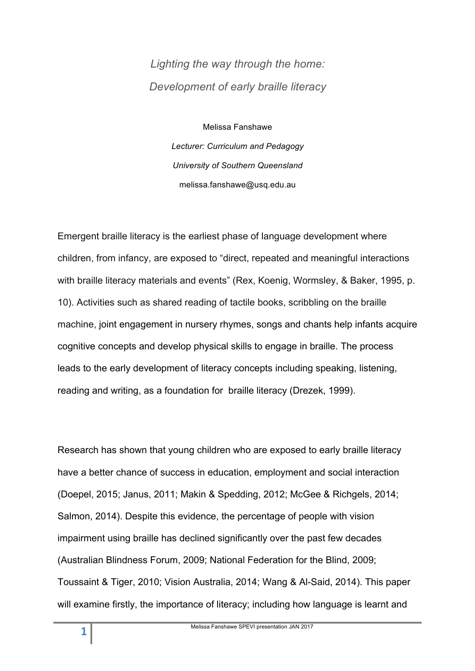# *Lighting the way through the home: Development of early braille literacy*

Melissa Fanshawe

*Lecturer: Curriculum and Pedagogy University of Southern Queensland* melissa.fanshawe@usq.edu.au

Emergent braille literacy is the earliest phase of language development where children, from infancy, are exposed to "direct, repeated and meaningful interactions with braille literacy materials and events" (Rex, Koenig, Wormsley, & Baker, 1995, p. 10). Activities such as shared reading of tactile books, scribbling on the braille machine, joint engagement in nursery rhymes, songs and chants help infants acquire cognitive concepts and develop physical skills to engage in braille. The process leads to the early development of literacy concepts including speaking, listening, reading and writing, as a foundation for braille literacy (Drezek, 1999).

Research has shown that young children who are exposed to early braille literacy have a better chance of success in education, employment and social interaction (Doepel, 2015; Janus, 2011; Makin & Spedding, 2012; McGee & Richgels, 2014; Salmon, 2014). Despite this evidence, the percentage of people with vision impairment using braille has declined significantly over the past few decades (Australian Blindness Forum, 2009; National Federation for the Blind, 2009; Toussaint & Tiger, 2010; Vision Australia, 2014; Wang & Al-Said, 2014). This paper will examine firstly, the importance of literacy; including how language is learnt and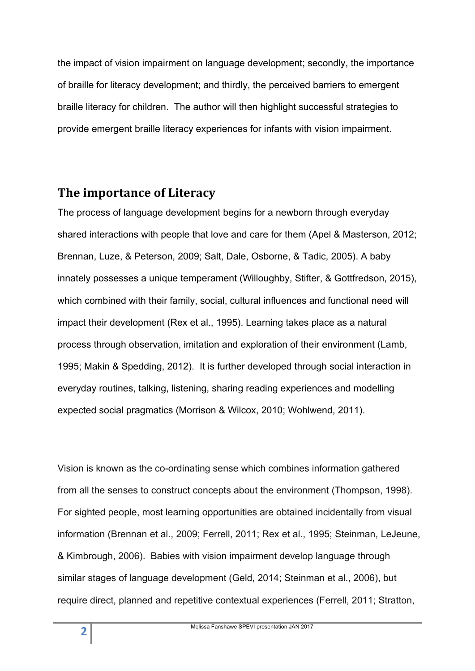the impact of vision impairment on language development; secondly, the importance of braille for literacy development; and thirdly, the perceived barriers to emergent braille literacy for children. The author will then highlight successful strategies to provide emergent braille literacy experiences for infants with vision impairment.

## **The importance of Literacy**

The process of language development begins for a newborn through everyday shared interactions with people that love and care for them (Apel & Masterson, 2012; Brennan, Luze, & Peterson, 2009; Salt, Dale, Osborne, & Tadic, 2005). A baby innately possesses a unique temperament (Willoughby, Stifter, & Gottfredson, 2015), which combined with their family, social, cultural influences and functional need will impact their development (Rex et al., 1995). Learning takes place as a natural process through observation, imitation and exploration of their environment (Lamb, 1995; Makin & Spedding, 2012). It is further developed through social interaction in everyday routines, talking, listening, sharing reading experiences and modelling expected social pragmatics (Morrison & Wilcox, 2010; Wohlwend, 2011).

Vision is known as the co-ordinating sense which combines information gathered from all the senses to construct concepts about the environment (Thompson, 1998). For sighted people, most learning opportunities are obtained incidentally from visual information (Brennan et al., 2009; Ferrell, 2011; Rex et al., 1995; Steinman, LeJeune, & Kimbrough, 2006). Babies with vision impairment develop language through similar stages of language development (Geld, 2014; Steinman et al., 2006), but require direct, planned and repetitive contextual experiences (Ferrell, 2011; Stratton,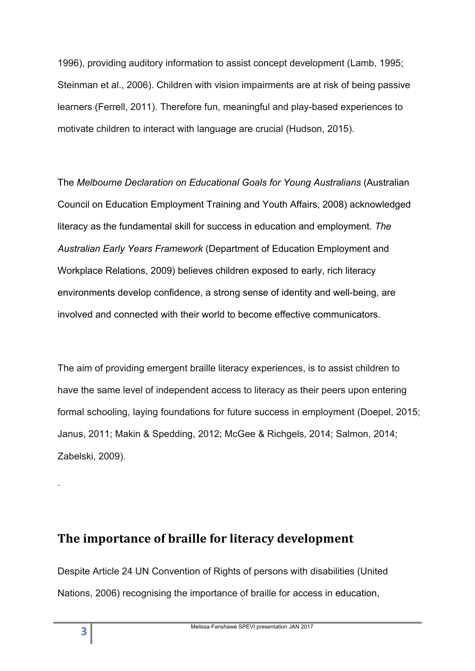1996), providing auditory information to assist concept development (Lamb, 1995; Steinman et al., 2006). Children with vision impairments are at risk of being passive learners (Ferrell, 2011). Therefore fun, meaningful and play-based experiences to motivate children to interact with language are crucial (Hudson, 2015).

The *Melbourne Declaration on Educational Goals for Young Australians* (Australian Council on Education Employment Training and Youth Affairs, 2008) acknowledged literacy as the fundamental skill for success in education and employment. *The Australian Early Years Framework* (Department of Education Employment and Workplace Relations, 2009) believes children exposed to early, rich literacy environments develop confidence, a strong sense of identity and well-being, are involved and connected with their world to become effective communicators.

The aim of providing emergent braille literacy experiences, is to assist children to have the same level of independent access to literacy as their peers upon entering formal schooling, laying foundations for future success in employment (Doepel, 2015; Janus, 2011; Makin & Spedding, 2012; McGee & Richgels, 2014; Salmon, 2014; Zabelski, 2009).

# The importance of braille for literacy development

Despite Article 24 UN Convention of Rights of persons with disabilities (United Nations, 2006) recognising the importance of braille for access in education,

.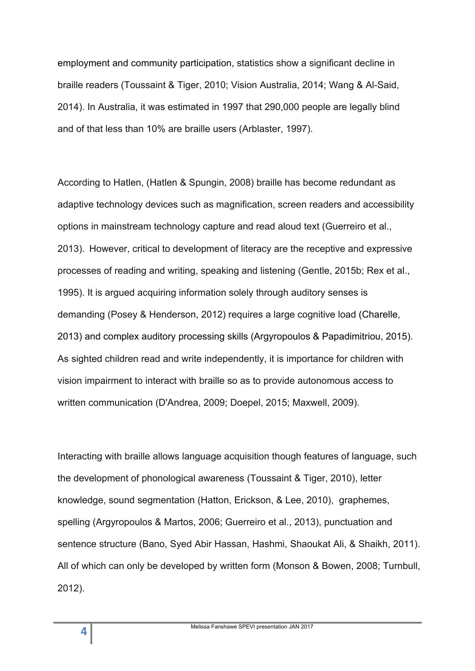employment and community participation, statistics show a significant decline in braille readers (Toussaint & Tiger, 2010; Vision Australia, 2014; Wang & Al-Said, 2014). In Australia, it was estimated in 1997 that 290,000 people are legally blind and of that less than 10% are braille users (Arblaster, 1997).

According to Hatlen, (Hatlen & Spungin, 2008) braille has become redundant as adaptive technology devices such as magnification, screen readers and accessibility options in mainstream technology capture and read aloud text (Guerreiro et al., 2013). However, critical to development of literacy are the receptive and expressive processes of reading and writing, speaking and listening (Gentle, 2015b; Rex et al., 1995). It is argued acquiring information solely through auditory senses is demanding (Posey & Henderson, 2012) requires a large cognitive load (Charelle, 2013) and complex auditory processing skills (Argyropoulos & Papadimitriou, 2015). As sighted children read and write independently, it is importance for children with vision impairment to interact with braille so as to provide autonomous access to written communication (D'Andrea, 2009; Doepel, 2015; Maxwell, 2009).

Interacting with braille allows language acquisition though features of language, such the development of phonological awareness (Toussaint & Tiger, 2010), letter knowledge, sound segmentation (Hatton, Erickson, & Lee, 2010), graphemes, spelling (Argyropoulos & Martos, 2006; Guerreiro et al., 2013), punctuation and sentence structure (Bano, Syed Abir Hassan, Hashmi, Shaoukat Ali, & Shaikh, 2011). All of which can only be developed by written form (Monson & Bowen, 2008; Turnbull, 2012).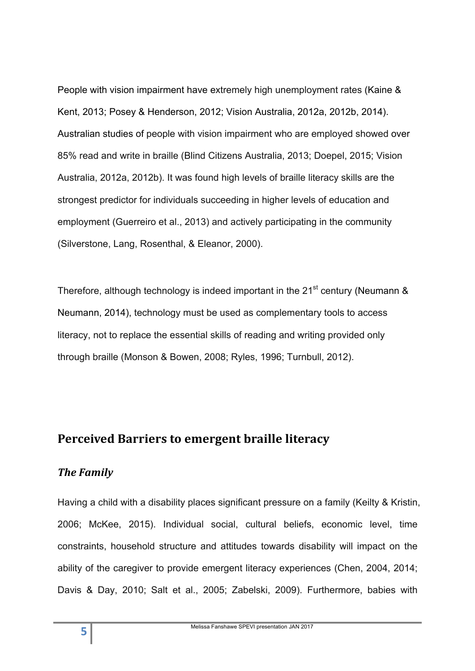People with vision impairment have extremely high unemployment rates (Kaine & Kent, 2013; Posey & Henderson, 2012; Vision Australia, 2012a, 2012b, 2014). Australian studies of people with vision impairment who are employed showed over 85% read and write in braille (Blind Citizens Australia, 2013; Doepel, 2015; Vision Australia, 2012a, 2012b). It was found high levels of braille literacy skills are the strongest predictor for individuals succeeding in higher levels of education and employment (Guerreiro et al., 2013) and actively participating in the community (Silverstone, Lang, Rosenthal, & Eleanor, 2000).

Therefore, although technology is indeed important in the 21<sup>st</sup> century (Neumann  $\&$ Neumann, 2014), technology must be used as complementary tools to access literacy, not to replace the essential skills of reading and writing provided only through braille (Monson & Bowen, 2008; Ryles, 1996; Turnbull, 2012).

# **Perceived Barriers to emergent braille literacy**

#### **The Family**

Having a child with a disability places significant pressure on a family (Keilty & Kristin, 2006; McKee, 2015). Individual social, cultural beliefs, economic level, time constraints, household structure and attitudes towards disability will impact on the ability of the caregiver to provide emergent literacy experiences (Chen, 2004, 2014; Davis & Day, 2010; Salt et al., 2005; Zabelski, 2009). Furthermore, babies with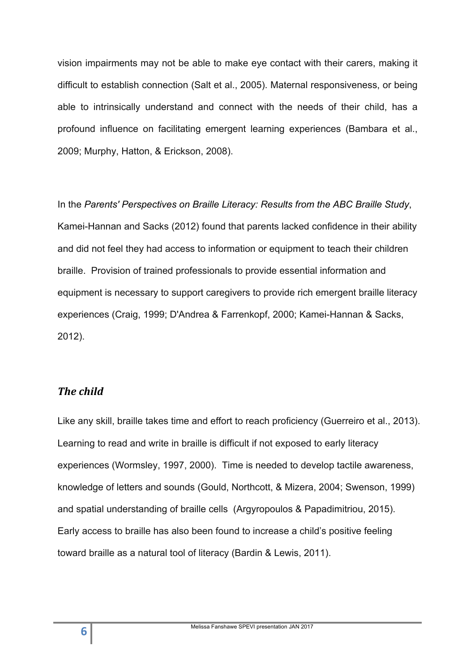vision impairments may not be able to make eye contact with their carers, making it difficult to establish connection (Salt et al., 2005). Maternal responsiveness, or being able to intrinsically understand and connect with the needs of their child, has a profound influence on facilitating emergent learning experiences (Bambara et al., 2009; Murphy, Hatton, & Erickson, 2008).

In the *Parents' Perspectives on Braille Literacy: Results from the ABC Braille Study*, Kamei-Hannan and Sacks (2012) found that parents lacked confidence in their ability and did not feel they had access to information or equipment to teach their children braille. Provision of trained professionals to provide essential information and equipment is necessary to support caregivers to provide rich emergent braille literacy experiences (Craig, 1999; D'Andrea & Farrenkopf, 2000; Kamei-Hannan & Sacks, 2012).

#### **The child**

Like any skill, braille takes time and effort to reach proficiency (Guerreiro et al., 2013). Learning to read and write in braille is difficult if not exposed to early literacy experiences (Wormsley, 1997, 2000). Time is needed to develop tactile awareness, knowledge of letters and sounds (Gould, Northcott, & Mizera, 2004; Swenson, 1999) and spatial understanding of braille cells (Argyropoulos & Papadimitriou, 2015). Early access to braille has also been found to increase a child's positive feeling toward braille as a natural tool of literacy (Bardin & Lewis, 2011).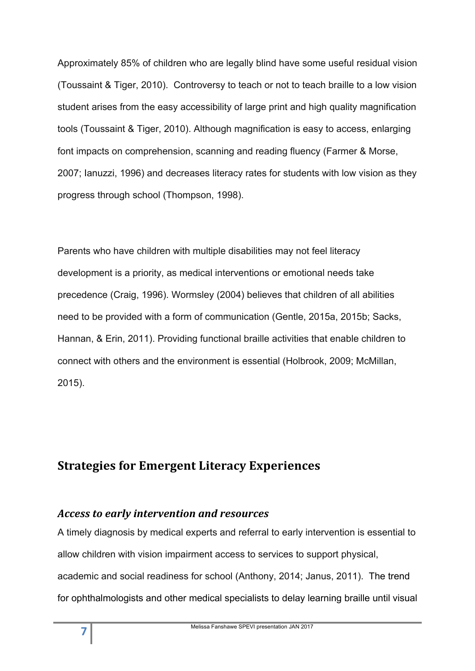Approximately 85% of children who are legally blind have some useful residual vision (Toussaint & Tiger, 2010). Controversy to teach or not to teach braille to a low vision student arises from the easy accessibility of large print and high quality magnification tools (Toussaint & Tiger, 2010). Although magnification is easy to access, enlarging font impacts on comprehension, scanning and reading fluency (Farmer & Morse, 2007; Ianuzzi, 1996) and decreases literacy rates for students with low vision as they progress through school (Thompson, 1998).

Parents who have children with multiple disabilities may not feel literacy development is a priority, as medical interventions or emotional needs take precedence (Craig, 1996). Wormsley (2004) believes that children of all abilities need to be provided with a form of communication (Gentle, 2015a, 2015b; Sacks, Hannan, & Erin, 2011). Providing functional braille activities that enable children to connect with others and the environment is essential (Holbrook, 2009; McMillan, 2015).

# **Strategies for Emergent Literacy Experiences**

#### *Access to early intervention and resources*

A timely diagnosis by medical experts and referral to early intervention is essential to allow children with vision impairment access to services to support physical, academic and social readiness for school (Anthony, 2014; Janus, 2011). The trend for ophthalmologists and other medical specialists to delay learning braille until visual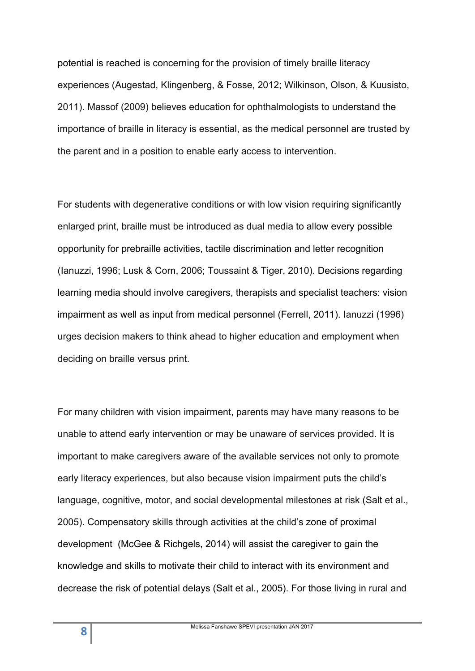potential is reached is concerning for the provision of timely braille literacy experiences (Augestad, Klingenberg, & Fosse, 2012; Wilkinson, Olson, & Kuusisto, 2011). Massof (2009) believes education for ophthalmologists to understand the importance of braille in literacy is essential, as the medical personnel are trusted by the parent and in a position to enable early access to intervention.

For students with degenerative conditions or with low vision requiring significantly enlarged print, braille must be introduced as dual media to allow every possible opportunity for prebraille activities, tactile discrimination and letter recognition (Ianuzzi, 1996; Lusk & Corn, 2006; Toussaint & Tiger, 2010). Decisions regarding learning media should involve caregivers, therapists and specialist teachers: vision impairment as well as input from medical personnel (Ferrell, 2011). Ianuzzi (1996) urges decision makers to think ahead to higher education and employment when deciding on braille versus print.

For many children with vision impairment, parents may have many reasons to be unable to attend early intervention or may be unaware of services provided. It is important to make caregivers aware of the available services not only to promote early literacy experiences, but also because vision impairment puts the child's language, cognitive, motor, and social developmental milestones at risk (Salt et al., 2005). Compensatory skills through activities at the child's zone of proximal development (McGee & Richgels, 2014) will assist the caregiver to gain the knowledge and skills to motivate their child to interact with its environment and decrease the risk of potential delays (Salt et al., 2005). For those living in rural and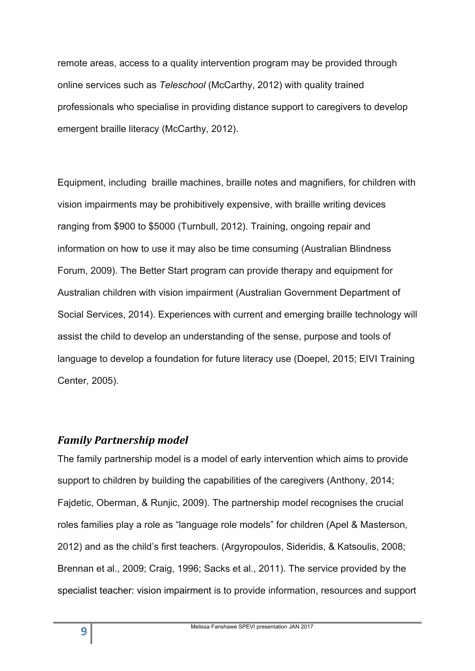remote areas, access to a quality intervention program may be provided through online services such as *Teleschool* (McCarthy, 2012) with quality trained professionals who specialise in providing distance support to caregivers to develop emergent braille literacy (McCarthy, 2012).

Equipment, including braille machines, braille notes and magnifiers, for children with vision impairments may be prohibitively expensive, with braille writing devices ranging from \$900 to \$5000 (Turnbull, 2012). Training, ongoing repair and information on how to use it may also be time consuming (Australian Blindness Forum, 2009). The Better Start program can provide therapy and equipment for Australian children with vision impairment (Australian Government Department of Social Services, 2014). Experiences with current and emerging braille technology will assist the child to develop an understanding of the sense, purpose and tools of language to develop a foundation for future literacy use (Doepel, 2015; EIVI Training Center, 2005).

#### *Family Partnership model*

The family partnership model is a model of early intervention which aims to provide support to children by building the capabilities of the caregivers (Anthony, 2014; Fajdetic, Oberman, & Runjic, 2009). The partnership model recognises the crucial roles families play a role as "language role models" for children (Apel & Masterson, 2012) and as the child's first teachers. (Argyropoulos, Sideridis, & Katsoulis, 2008; Brennan et al., 2009; Craig, 1996; Sacks et al., 2011). The service provided by the specialist teacher: vision impairment is to provide information, resources and support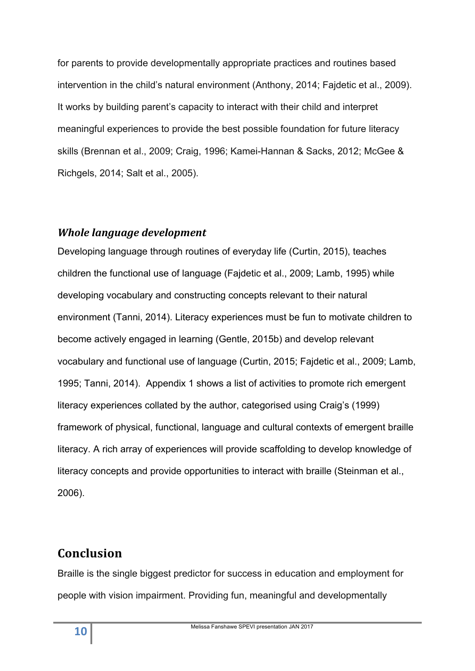for parents to provide developmentally appropriate practices and routines based intervention in the child's natural environment (Anthony, 2014; Fajdetic et al., 2009). It works by building parent's capacity to interact with their child and interpret meaningful experiences to provide the best possible foundation for future literacy skills (Brennan et al., 2009; Craig, 1996; Kamei-Hannan & Sacks, 2012; McGee & Richgels, 2014; Salt et al., 2005).

#### **Whole language development**

Developing language through routines of everyday life (Curtin, 2015), teaches children the functional use of language (Fajdetic et al., 2009; Lamb, 1995) while developing vocabulary and constructing concepts relevant to their natural environment (Tanni, 2014). Literacy experiences must be fun to motivate children to become actively engaged in learning (Gentle, 2015b) and develop relevant vocabulary and functional use of language (Curtin, 2015; Fajdetic et al., 2009; Lamb, 1995; Tanni, 2014). Appendix 1 shows a list of activities to promote rich emergent literacy experiences collated by the author, categorised using Craig's (1999) framework of physical, functional, language and cultural contexts of emergent braille literacy. A rich array of experiences will provide scaffolding to develop knowledge of literacy concepts and provide opportunities to interact with braille (Steinman et al., 2006).

# **Conclusion**

Braille is the single biggest predictor for success in education and employment for people with vision impairment. Providing fun, meaningful and developmentally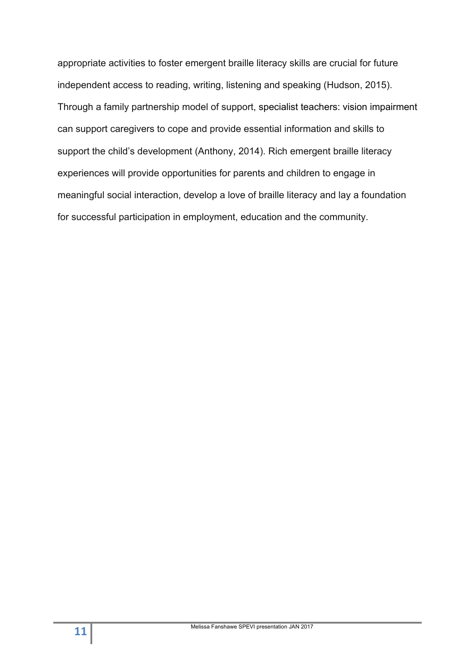appropriate activities to foster emergent braille literacy skills are crucial for future independent access to reading, writing, listening and speaking (Hudson, 2015). Through a family partnership model of support, specialist teachers: vision impairment can support caregivers to cope and provide essential information and skills to support the child's development (Anthony, 2014). Rich emergent braille literacy experiences will provide opportunities for parents and children to engage in meaningful social interaction, develop a love of braille literacy and lay a foundation for successful participation in employment, education and the community.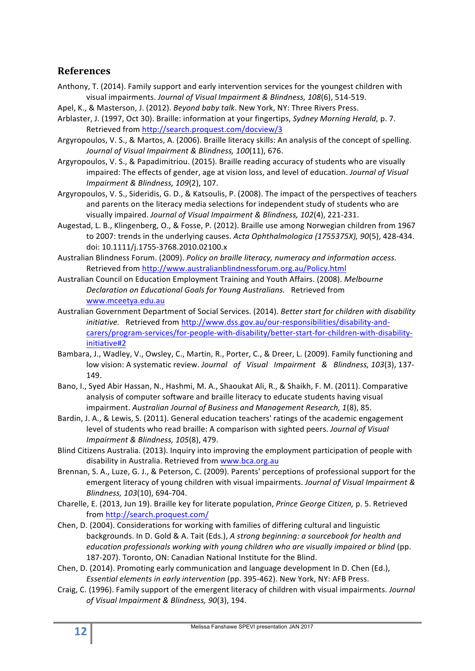#### **References**

- Anthony, T. (2014). Family support and early intervention services for the youngest children with visual impairments. *Journal of Visual Impairment & Blindness, 108*(6), 514-519.
- Apel, K., & Masterson, J. (2012). *Beyond baby talk*. New York, NY: Three Rivers Press.
- Arblaster, J. (1997, Oct 30). Braille: information at your fingertips, *Sydney Morning Herald, p. 7.* Retrieved from http://search.proquest.com/docview/3
- Argyropoulos, V. S., & Martos, A. (2006). Braille literacy skills: An analysis of the concept of spelling. Journal of Visual Impairment & Blindness, 100(11), 676.
- Argyropoulos, V. S., & Papadimitriou. (2015). Braille reading accuracy of students who are visually impaired: The effects of gender, age at vision loss, and level of education. *Journal of Visual Impairment & Blindness, 109(2), 107.*
- Argyropoulos, V. S., Sideridis, G. D., & Katsoulis, P. (2008). The impact of the perspectives of teachers and parents on the literacy media selections for independent study of students who are visually impaired. *Journal of Visual Impairment & Blindness, 102(4)*, 221-231.
- Augestad, L. B., Klingenberg, O., & Fosse, P. (2012). Braille use among Norwegian children from 1967 to 2007: trends in the underlying causes. Acta Ophthalmologica (1755375X), 90(5), 428-434. doi: 10.1111/j.1755-3768.2010.02100.x
- Australian Blindness Forum. (2009). Policy on braille literacy, numeracy and information access. Retrieved from http://www.australianblindnessforum.org.au/Policy.html
- Australian Council on Education Employment Training and Youth Affairs. (2008). *Melbourne* **Declaration on Educational Goals for Young Australians.** Retrieved from www.mceetya.edu.au
- Australian Government Department of Social Services. (2014). Better start for children with disability initiative. Retrieved from http://www.dss.gov.au/our-responsibilities/disability-andcarers/program-services/for-people-with-disability/better-start-for-children-with-disabilityinitiative#2
- Bambara, J., Wadley, V., Owsley, C., Martin, R., Porter, C., & Dreer, L. (2009). Family functioning and low vision: A systematic review. *Journal of Visual Impairment & Blindness, 103*(3), 137-149.
- Bano, I., Syed Abir Hassan, N., Hashmi, M. A., Shaoukat Ali, R., & Shaikh, F. M. (2011). Comparative analysis of computer software and braille literacy to educate students having visual impairment. Australian Journal of Business and Management Research, 1(8), 85.
- Bardin, J. A., & Lewis, S. (2011). General education teachers' ratings of the academic engagement level of students who read braille: A comparison with sighted peers. *Journal of Visual Impairment & Blindness, 105*(8), 479.
- Blind Citizens Australia. (2013). Inquiry into improving the employment participation of people with disability in Australia. Retrieved from www.bca.org.au
- Brennan, S. A., Luze, G. J., & Peterson, C. (2009). Parents' perceptions of professional support for the emergent literacy of young children with visual impairments. *Journal of Visual Impairment & Blindness, 103*(10), 694-704.
- Charelle, E. (2013, Jun 19). Braille key for literate population, *Prince George Citizen*, p. 5. Retrieved from http://search.proquest.com/
- Chen, D. (2004). Considerations for working with families of differing cultural and linguistic backgrounds. In D. Gold & A. Tait (Eds.), A strong beginning: a sourcebook for health and *education professionals working with young children who are visually impaired or blind* (pp. 187-207). Toronto, ON: Canadian National Institute for the Blind.
- Chen, D. (2014). Promoting early communication and language development In D. Chen (Ed.), *Essential elements in early intervention* (pp. 395-462). New York, NY: AFB Press.
- Craig, C. (1996). Family support of the emergent literacy of children with visual impairments. *Journal of Visual Impairment & Blindness, 90*(3), 194.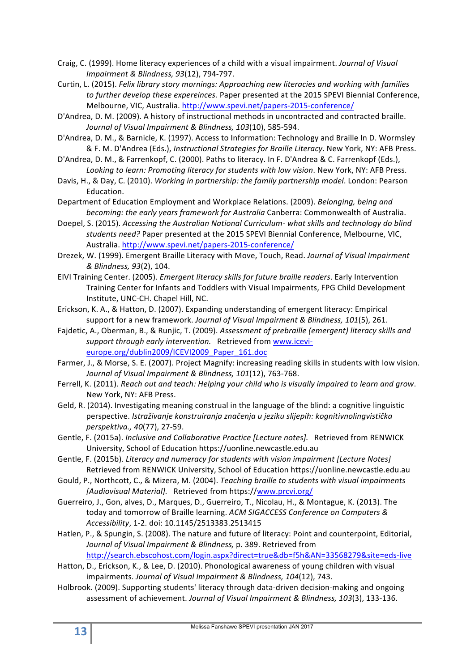- Craig, C. (1999). Home literacy experiences of a child with a visual impairment. *Journal of Visual Impairment & Blindness, 93*(12), 794-797.
- Curtin, L. (2015). *Felix library story mornings: Approaching new literacies and working with families* to further develop these expereinces. Paper presented at the 2015 SPEVI Biennial Conference, Melbourne, VIC, Australia. http://www.spevi.net/papers-2015-conference/
- D'Andrea, D. M. (2009). A history of instructional methods in uncontracted and contracted braille. Journal of Visual Impairment & Blindness, 103(10), 585-594.
- D'Andrea, D. M., & Barnicle, K. (1997). Access to Information: Technology and Braille In D. Wormsley & F. M. D'Andrea (Eds.), Instructional Strategies for Braille Literacy. New York, NY: AFB Press.
- D'Andrea, D. M., & Farrenkopf, C. (2000). Paths to literacy. In F. D'Andrea & C. Farrenkopf (Eds.), Looking to learn: Promoting literacy for students with low vision. New York, NY: AFB Press.
- Davis, H., & Day, C. (2010). *Working in partnership: the family partnership model*. London: Pearson Education.
- Department of Education Employment and Workplace Relations. (2009). *Belonging, being and becoming: the early years framework for Australia* Canberra: Commonwealth of Australia.
- Doepel, S. (2015). *Accessing the Australian National Curriculum-* what skills and technology do blind students need? Paper presented at the 2015 SPEVI Biennial Conference, Melbourne, VIC, Australia. http://www.spevi.net/papers-2015-conference/
- Drezek, W. (1999). Emergent Braille Literacy with Move, Touch, Read. Journal of Visual Impairment *& Blindness, 93*(2), 104.
- EIVI Training Center. (2005). *Emergent literacy skills for future braille readers*. Early Intervention Training Center for Infants and Toddlers with Visual Impairments, FPG Child Development Institute, UNC-CH. Chapel Hill, NC.
- Erickson, K. A., & Hatton, D. (2007). Expanding understanding of emergent literacy: Empirical support for a new framework. *Journal of Visual Impairment & Blindness*, 101(5), 261.
- Fajdetic, A., Oberman, B., & Runjic, T. (2009). Assessment of prebraille (emergent) literacy skills and support through early intervention. Retrieved from www.icevieurope.org/dublin2009/ICEVI2009\_Paper\_161.doc
- Farmer, J., & Morse, S. E. (2007). Project Magnify: increasing reading skills in students with low vision. Journal of Visual Impairment & Blindness, 101(12), 763-768.
- Ferrell, K. (2011). *Reach out and teach: Helping your child who is visually impaired to learn and grow.* New York, NY: AFB Press.
- Geld, R. (2014). Investigating meaning construal in the language of the blind: a cognitive linguistic perspective. *Istraživanje konstruiranja značenja u jeziku slijepih: kognitivnolingvistička perspektiva., 40*(77), 27-59.
- Gentle, F. (2015a). *Inclusive and Collaborative Practice [Lecture notes]*. Retrieved from RENWICK University, School of Education https://uonline.newcastle.edu.au
- Gentle, F. (2015b). *Literacy and numeracy for students with vision impairment [Lecture Notes]* Retrieved from RENWICK University, School of Education https://uonline.newcastle.edu.au
- Gould, P., Northcott, C., & Mizera, M. (2004). *Teaching braille to students with visual impairments* [Audiovisual Material]. Retrieved from https://www.prcvi.org/
- Guerreiro, J., Gon, alves, D., Marques, D., Guerreiro, T., Nicolau, H., & Montague, K. (2013). The today and tomorrow of Braille learning. *ACM SIGACCESS Conference on Computers & Accessibility*, 1-2. doi: 10.1145/2513383.2513415
- Hatlen, P., & Spungin, S. (2008). The nature and future of literacy: Point and counterpoint, Editorial, Journal of Visual Impairment & Blindness, p. 389. Retrieved from http://search.ebscohost.com/login.aspx?direct=true&db=f5h&AN=33568279&site=eds-live
- Hatton, D., Erickson, K., & Lee, D. (2010). Phonological awareness of young children with visual impairments. Journal of Visual Impairment & Blindness, 104(12), 743.
- Holbrook. (2009). Supporting students' literacy through data-driven decision-making and ongoing assessment of achievement. Journal of Visual Impairment & Blindness, 103(3), 133-136.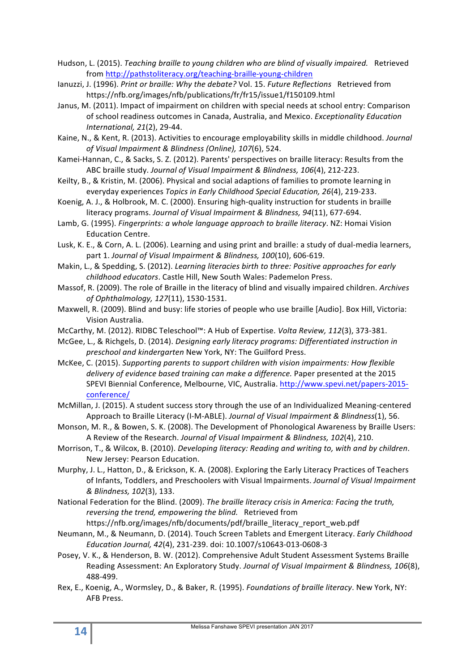Hudson, L. (2015). *Teaching braille to young children who are blind of visually impaired.* Retrieved from http://pathstoliteracy.org/teaching-braille-young-children

- lanuzzi, J. (1996). *Print or braille: Why the debate?* Vol. 15. *Future Reflections* Retrieved from https://nfb.org/images/nfb/publications/fr/fr15/issue1/f150109.html
- Janus, M. (2011). Impact of impairment on children with special needs at school entry: Comparison of school readiness outcomes in Canada, Australia, and Mexico. *Exceptionality Education International, 21*(2), 29-44.
- Kaine, N., & Kent, R. (2013). Activities to encourage employability skills in middle childhood. *Journal of Visual Impairment & Blindness (Online), 107*(6), 524.
- Kamei-Hannan, C., & Sacks, S. Z. (2012). Parents' perspectives on braille literacy: Results from the ABC braille study. *Journal of Visual Impairment & Blindness, 106*(4), 212-223.
- Keilty, B., & Kristin, M. (2006). Physical and social adaptions of families to promote learning in everyday experiences *Topics in Early Childhood Special Education, 26*(4), 219-233.
- Koenig, A. J., & Holbrook, M. C. (2000). Ensuring high-quality instruction for students in braille literacy programs. Journal of Visual Impairment & Blindness, 94(11), 677-694.
- Lamb, G. (1995). *Fingerprints: a whole language approach to braille literacy*. NZ: Homai Vision Education Centre.
- Lusk, K. E., & Corn, A. L. (2006). Learning and using print and braille: a study of dual-media learners, part 1. Journal of Visual Impairment & Blindness, 100(10), 606-619.
- Makin, L., & Spedding, S. (2012). *Learning literacies birth to three: Positive approaches for early childhood educators*. Castle Hill, New South Wales: Pademelon Press.
- Massof, R. (2009). The role of Braille in the literacy of blind and visually impaired children. Archives *of Ophthalmology, 127*(11), 1530-1531.
- Maxwell, R. (2009). Blind and busy: life stories of people who use braille [Audio]. Box Hill, Victoria: Vision Australia.
- McCarthy, M. (2012). RIDBC Teleschool™: A Hub of Expertise. *Volta Review, 112*(3), 373-381.
- McGee, L., & Richgels, D. (2014). *Designing early literacy programs: Differentiated instruction in preschool and kindergarten* New York, NY: The Guilford Press.
- McKee, C. (2015). *Supporting parents to support children with vision impairments: How flexible* delivery of evidence based training can make a difference. Paper presented at the 2015 SPEVI Biennial Conference, Melbourne, VIC, Australia. http://www.spevi.net/papers-2015conference/
- McMillan, J. (2015). A student success story through the use of an Individualized Meaning-centered Approach to Braille Literacy (I-M-ABLE). *Journal of Visual Impairment & Blindness*(1), 56.
- Monson, M. R., & Bowen, S. K. (2008). The Development of Phonological Awareness by Braille Users: A Review of the Research. *Journal of Visual Impairment & Blindness, 102*(4), 210.
- Morrison, T., & Wilcox, B. (2010). *Developing literacy: Reading and writing to, with and by children.* New Jersey: Pearson Education.
- Murphy, J. L., Hatton, D., & Erickson, K. A. (2008). Exploring the Early Literacy Practices of Teachers of Infants, Toddlers, and Preschoolers with Visual Impairments. *Journal of Visual Impairment & Blindness, 102*(3), 133.
- National Federation for the Blind. (2009). *The braille literacy crisis in America: Facing the truth, reversing the trend, empowering the blind.* Retrieved from

https://nfb.org/images/nfb/documents/pdf/braille\_literacy\_report\_web.pdf

- Neumann, M., & Neumann, D. (2014). Touch Screen Tablets and Emergent Literacy. *Early Childhood Education Journal, 42*(4), 231-239. doi: 10.1007/s10643-013-0608-3
- Posey, V. K., & Henderson, B. W. (2012). Comprehensive Adult Student Assessment Systems Braille Reading Assessment: An Exploratory Study. Journal of Visual Impairment & Blindness, 106(8), 488-499.
- Rex, E., Koenig, A., Wormsley, D., & Baker, R. (1995). *Foundations of braille literacy*. New York, NY: AFB Press.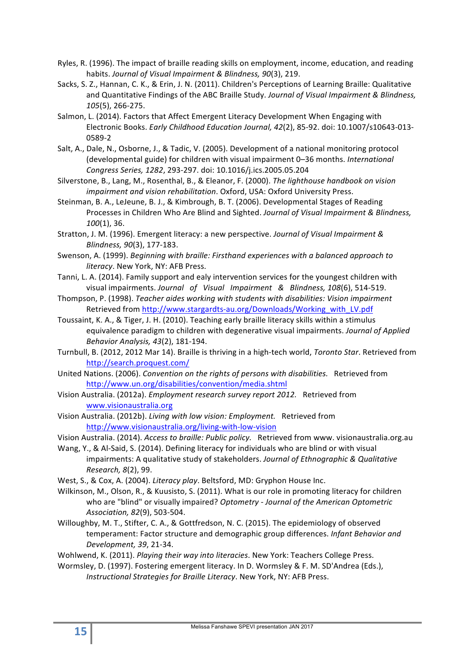- Ryles, R. (1996). The impact of braille reading skills on employment, income, education, and reading habits. Journal of Visual Impairment & Blindness, 90(3), 219.
- Sacks, S. Z., Hannan, C. K., & Erin, J. N. (2011). Children's Perceptions of Learning Braille: Qualitative and Quantitative Findings of the ABC Braille Study. *Journal of Visual Impairment & Blindness*, *105*(5), 266-275.
- Salmon, L. (2014). Factors that Affect Emergent Literacy Development When Engaging with Electronic Books. *Early Childhood Education Journal, 42*(2), 85-92. doi: 10.1007/s10643-013-0589-2
- Salt, A., Dale, N., Osborne, J., & Tadic, V. (2005). Development of a national monitoring protocol (developmental guide) for children with visual impairment 0–36 months. *International Congress Series, 1282*, 293-297. doi: 10.1016/j.ics.2005.05.204
- Silverstone, B., Lang, M., Rosenthal, B., & Eleanor, F. (2000). *The lighthouse handbook on vision impairment and vision rehabilitation*. Oxford, USA: Oxford University Press.
- Steinman, B. A., LeJeune, B. J., & Kimbrough, B. T. (2006). Developmental Stages of Reading Processes in Children Who Are Blind and Sighted. *Journal of Visual Impairment & Blindness*, *100*(1), 36.
- Stratton, J. M. (1996). Emergent literacy: a new perspective. *Journal of Visual Impairment & Blindness, 90*(3), 177-183.
- Swenson, A. (1999). *Beginning with braille: Firsthand experiences with a balanced approach to literacy*. New York, NY: AFB Press.
- Tanni, L. A. (2014). Family support and ealy intervention services for the voungest children with visual impairments. *Journal of Visual Impairment & Blindness, 108*(6), 514-519.
- Thompson, P. (1998). *Teacher aides working with students with disabilities: Vision impairment* Retrieved from http://www.stargardts-au.org/Downloads/Working\_with\_LV.pdf
- Toussaint, K. A., & Tiger, J. H. (2010). Teaching early braille literacy skills within a stimulus equivalence paradigm to children with degenerative visual impairments. *Journal of Applied Behavior Analysis, 43*(2), 181-194.
- Turnbull, B. (2012, 2012 Mar 14). Braille is thriving in a high-tech world, *Toronto Star*. Retrieved from http://search.proquest.com/
- United Nations. (2006). *Convention on the rights of persons with disabilities.* Retrieved from http://www.un.org/disabilities/convention/media.shtml
- Vision Australia. (2012a). *Employment research survey report 2012.* Retrieved from www.visionaustralia.org
- Vision Australia. (2012b). *Living with low vision: Employment.* Retrieved from http://www.visionaustralia.org/living-with-low-vision
- Vision Australia. (2014). *Access to braille: Public policy.* Retrieved from www. visionaustralia.org.au
- Wang, Y., & Al-Said, S. (2014). Defining literacy for individuals who are blind or with visual impairments: A qualitative study of stakeholders. *Journal of Ethnographic & Qualitative Research, 8*(2), 99.
- West, S., & Cox, A. (2004). *Literacy play*. Beltsford, MD: Gryphon House Inc.
- Wilkinson, M., Olson, R., & Kuusisto, S. (2011). What is our role in promoting literacy for children who are "blind" or visually impaired? Optometry - Journal of the American Optometric *Association, 82*(9), 503-504.
- Willoughby, M. T., Stifter, C. A., & Gottfredson, N. C. (2015). The epidemiology of observed temperament: Factor structure and demographic group differences. *Infant Behavior and Development, 39*, 21-34.

Wohlwend, K. (2011). *Playing their way into literacies*. New York: Teachers College Press.

Wormsley, D. (1997). Fostering emergent literacy. In D. Wormsley & F. M. SD'Andrea (Eds.), *Instructional Strategies for Braille Literacy*. New York, NY: AFB Press.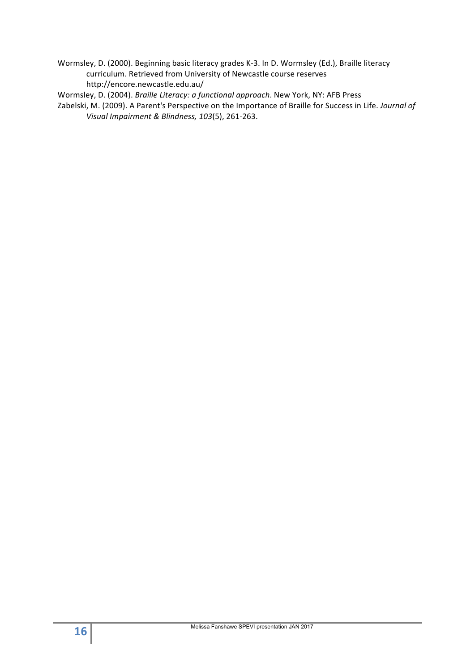Wormsley, D. (2000). Beginning basic literacy grades K-3. In D. Wormsley (Ed.), Braille literacy curriculum. Retrieved from University of Newcastle course reserves http://encore.newcastle.edu.au/ 

Wormsley, D. (2004). *Braille Literacy: a functional approach*. New York, NY: AFB Press

Zabelski, M. (2009). A Parent's Perspective on the Importance of Braille for Success in Life. *Journal of Visual Impairment & Blindness, 103*(5), 261-263.